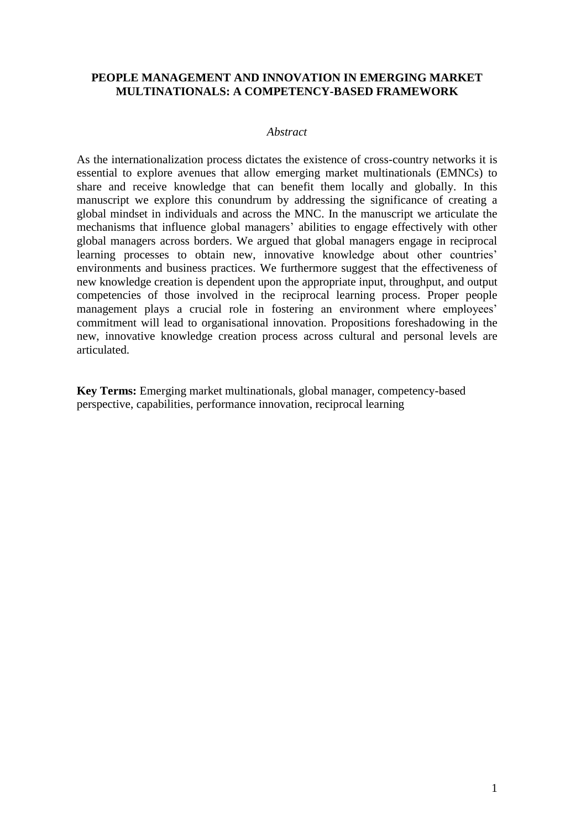## **PEOPLE MANAGEMENT AND INNOVATION IN EMERGING MARKET MULTINATIONALS: A COMPETENCY-BASED FRAMEWORK**

### *Abstract*

As the internationalization process dictates the existence of cross-country networks it is essential to explore avenues that allow emerging market multinationals (EMNCs) to share and receive knowledge that can benefit them locally and globally. In this manuscript we explore this conundrum by addressing the significance of creating a global mindset in individuals and across the MNC. In the manuscript we articulate the mechanisms that influence global managers' abilities to engage effectively with other global managers across borders. We argued that global managers engage in reciprocal learning processes to obtain new, innovative knowledge about other countries' environments and business practices. We furthermore suggest that the effectiveness of new knowledge creation is dependent upon the appropriate input, throughput, and output competencies of those involved in the reciprocal learning process. Proper people management plays a crucial role in fostering an environment where employees' commitment will lead to organisational innovation. Propositions foreshadowing in the new, innovative knowledge creation process across cultural and personal levels are articulated.

**Key Terms:** Emerging market multinationals, global manager, competency-based perspective, capabilities, performance innovation, reciprocal learning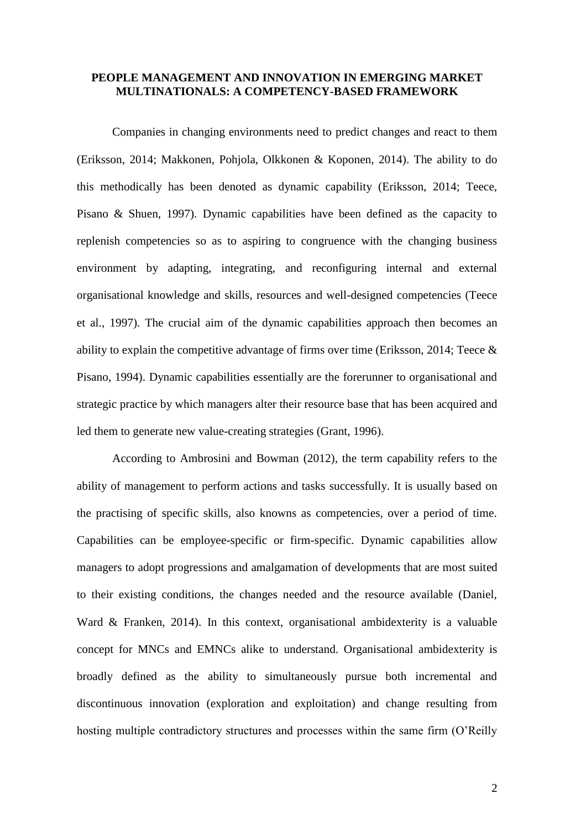### **PEOPLE MANAGEMENT AND INNOVATION IN EMERGING MARKET MULTINATIONALS: A COMPETENCY-BASED FRAMEWORK**

Companies in changing environments need to predict changes and react to them (Eriksson, 2014; Makkonen, Pohjola, Olkkonen & Koponen, 2014). The ability to do this methodically has been denoted as dynamic capability (Eriksson, 2014; Teece, Pisano & Shuen, 1997). Dynamic capabilities have been defined as the capacity to replenish competencies so as to aspiring to congruence with the changing business environment by adapting, integrating, and reconfiguring internal and external organisational knowledge and skills, resources and well-designed competencies (Teece et al., 1997). The crucial aim of the dynamic capabilities approach then becomes an ability to explain the competitive advantage of firms over time (Eriksson, 2014; Teece & Pisano, 1994). Dynamic capabilities essentially are the forerunner to organisational and strategic practice by which managers alter their resource base that has been acquired and led them to generate new value-creating strategies (Grant, 1996).

According to Ambrosini and Bowman (2012), the term capability refers to the ability of management to perform actions and tasks successfully. It is usually based on the practising of specific skills, also knowns as competencies, over a period of time. Capabilities can be employee-specific or firm-specific. Dynamic capabilities allow managers to adopt progressions and amalgamation of developments that are most suited to their existing conditions, the changes needed and the resource available (Daniel, Ward & Franken, 2014). In this context, organisational ambidexterity is a valuable concept for MNCs and EMNCs alike to understand. Organisational ambidexterity is broadly defined as the ability to simultaneously pursue both incremental and discontinuous innovation (exploration and exploitation) and change resulting from hosting multiple contradictory structures and processes within the same firm (O'Reilly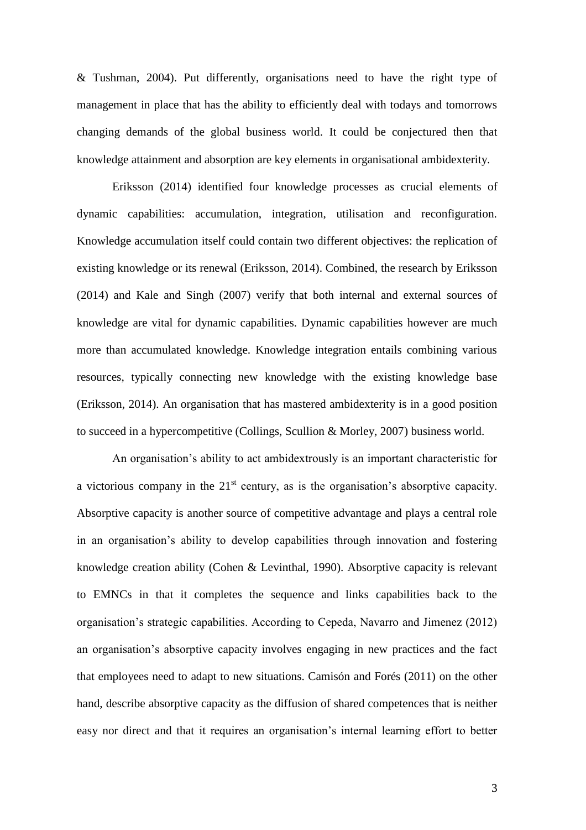& Tushman, 2004). Put differently, organisations need to have the right type of management in place that has the ability to efficiently deal with todays and tomorrows changing demands of the global business world. It could be conjectured then that knowledge attainment and absorption are key elements in organisational ambidexterity.

Eriksson (2014) identified four knowledge processes as crucial elements of dynamic capabilities: accumulation, integration, utilisation and reconfiguration. Knowledge accumulation itself could contain two different objectives: the replication of existing knowledge or its renewal (Eriksson, 2014). Combined, the research by Eriksson (2014) and Kale and Singh (2007) verify that both internal and external sources of knowledge are vital for dynamic capabilities. Dynamic capabilities however are much more than accumulated knowledge. Knowledge integration entails combining various resources, typically connecting new knowledge with the existing knowledge base (Eriksson, 2014). An organisation that has mastered ambidexterity is in a good position to succeed in a hypercompetitive (Collings, Scullion & Morley, 2007) business world.

An organisation's ability to act ambidextrously is an important characteristic for a victorious company in the  $21<sup>st</sup>$  century, as is the organisation's absorptive capacity. Absorptive capacity is another source of competitive advantage and plays a central role in an organisation's ability to develop capabilities through innovation and fostering knowledge creation ability (Cohen & Levinthal, 1990). Absorptive capacity is relevant to EMNCs in that it completes the sequence and links capabilities back to the organisation's strategic capabilities. According to Cepeda, Navarro and Jimenez (2012) an organisation's absorptive capacity involves engaging in new practices and the fact that employees need to adapt to new situations. Camisón and Forés (2011) on the other hand, describe absorptive capacity as the diffusion of shared competences that is neither easy nor direct and that it requires an organisation's internal learning effort to better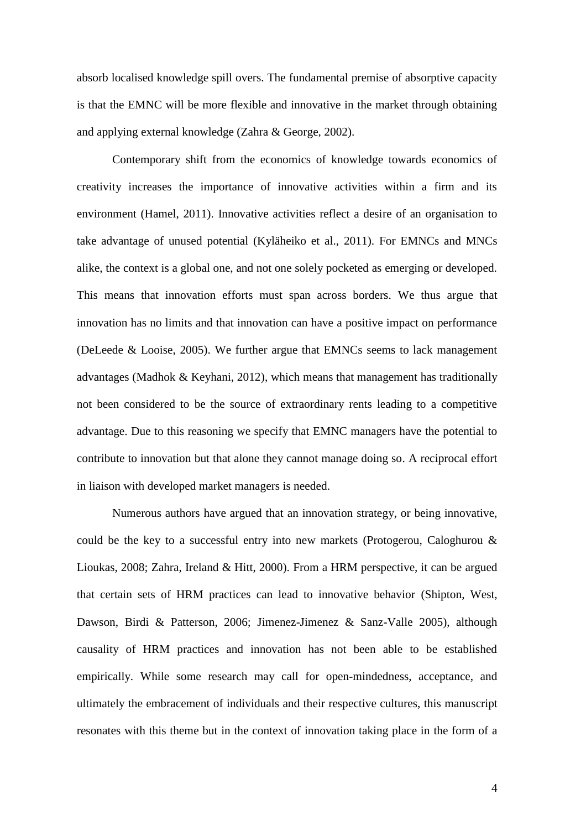absorb localised knowledge spill overs. The fundamental premise of absorptive capacity is that the EMNC will be more flexible and innovative in the market through obtaining and applying external knowledge (Zahra & George, 2002).

Contemporary shift from the economics of knowledge towards economics of creativity increases the importance of innovative activities within a firm and its environment (Hamel, 2011). Innovative activities reflect a desire of an organisation to take advantage of unused potential (Kyläheiko et al., 2011). For EMNCs and MNCs alike, the context is a global one, and not one solely pocketed as emerging or developed. This means that innovation efforts must span across borders. We thus argue that innovation has no limits and that innovation can have a positive impact on performance (DeLeede & Looise, 2005). We further argue that EMNCs seems to lack management advantages (Madhok & Keyhani, 2012), which means that management has traditionally not been considered to be the source of extraordinary rents leading to a competitive advantage. Due to this reasoning we specify that EMNC managers have the potential to contribute to innovation but that alone they cannot manage doing so. A reciprocal effort in liaison with developed market managers is needed.

Numerous authors have argued that an innovation strategy, or being innovative, could be the key to a successful entry into new markets (Protogerou, Caloghurou & Lioukas, 2008; Zahra, Ireland & Hitt, 2000). From a HRM perspective, it can be argued that certain sets of HRM practices can lead to innovative behavior (Shipton, West, Dawson, Birdi & Patterson, 2006; Jimenez-Jimenez & Sanz-Valle 2005), although causality of HRM practices and innovation has not been able to be established empirically. While some research may call for open-mindedness, acceptance, and ultimately the embracement of individuals and their respective cultures, this manuscript resonates with this theme but in the context of innovation taking place in the form of a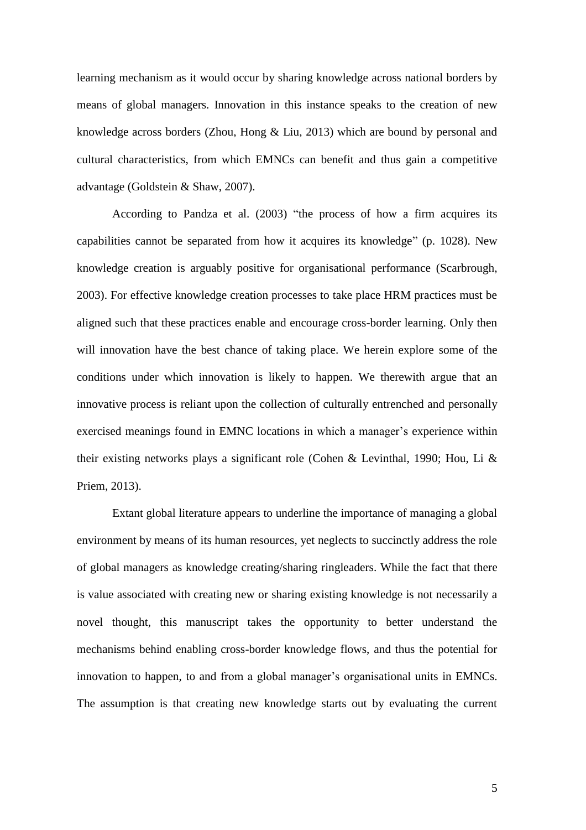learning mechanism as it would occur by sharing knowledge across national borders by means of global managers. Innovation in this instance speaks to the creation of new knowledge across borders (Zhou, Hong & Liu, 2013) which are bound by personal and cultural characteristics, from which EMNCs can benefit and thus gain a competitive advantage (Goldstein & Shaw, 2007).

According to Pandza et al. (2003) "the process of how a firm acquires its capabilities cannot be separated from how it acquires its knowledge" (p. 1028). New knowledge creation is arguably positive for organisational performance (Scarbrough, 2003). For effective knowledge creation processes to take place HRM practices must be aligned such that these practices enable and encourage cross-border learning. Only then will innovation have the best chance of taking place. We herein explore some of the conditions under which innovation is likely to happen. We therewith argue that an innovative process is reliant upon the collection of culturally entrenched and personally exercised meanings found in EMNC locations in which a manager's experience within their existing networks plays a significant role (Cohen & Levinthal, 1990; Hou, Li & Priem, 2013).

Extant global literature appears to underline the importance of managing a global environment by means of its human resources, yet neglects to succinctly address the role of global managers as knowledge creating/sharing ringleaders. While the fact that there is value associated with creating new or sharing existing knowledge is not necessarily a novel thought, this manuscript takes the opportunity to better understand the mechanisms behind enabling cross-border knowledge flows, and thus the potential for innovation to happen, to and from a global manager's organisational units in EMNCs. The assumption is that creating new knowledge starts out by evaluating the current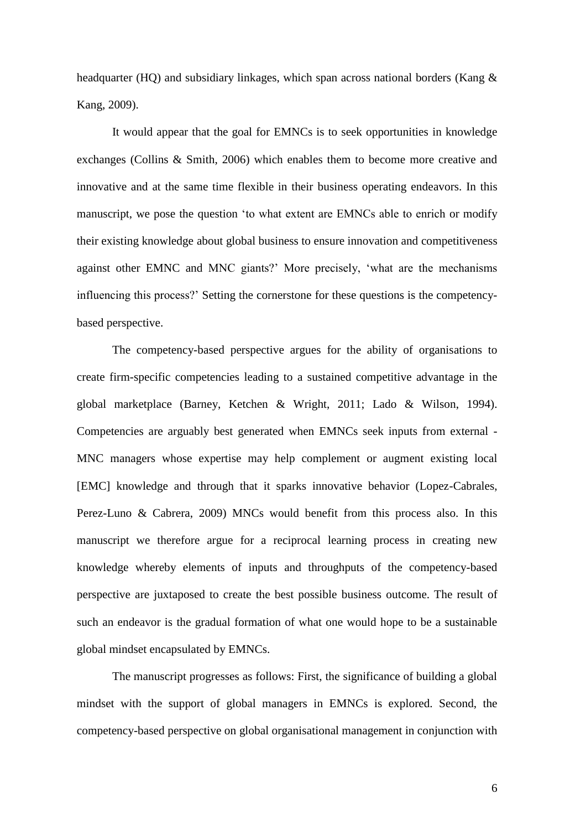headquarter (HQ) and subsidiary linkages, which span across national borders (Kang & Kang, 2009).

It would appear that the goal for EMNCs is to seek opportunities in knowledge exchanges (Collins & Smith, 2006) which enables them to become more creative and innovative and at the same time flexible in their business operating endeavors. In this manuscript, we pose the question 'to what extent are EMNCs able to enrich or modify their existing knowledge about global business to ensure innovation and competitiveness against other EMNC and MNC giants?' More precisely, 'what are the mechanisms influencing this process?' Setting the cornerstone for these questions is the competencybased perspective.

The competency-based perspective argues for the ability of organisations to create firm-specific competencies leading to a sustained competitive advantage in the global marketplace (Barney, Ketchen & Wright, 2011; Lado & Wilson, 1994). Competencies are arguably best generated when EMNCs seek inputs from external - MNC managers whose expertise may help complement or augment existing local [EMC] knowledge and through that it sparks innovative behavior (Lopez-Cabrales, Perez-Luno & Cabrera, 2009) MNCs would benefit from this process also. In this manuscript we therefore argue for a reciprocal learning process in creating new knowledge whereby elements of inputs and throughputs of the competency-based perspective are juxtaposed to create the best possible business outcome. The result of such an endeavor is the gradual formation of what one would hope to be a sustainable global mindset encapsulated by EMNCs.

The manuscript progresses as follows: First, the significance of building a global mindset with the support of global managers in EMNCs is explored. Second, the competency-based perspective on global organisational management in conjunction with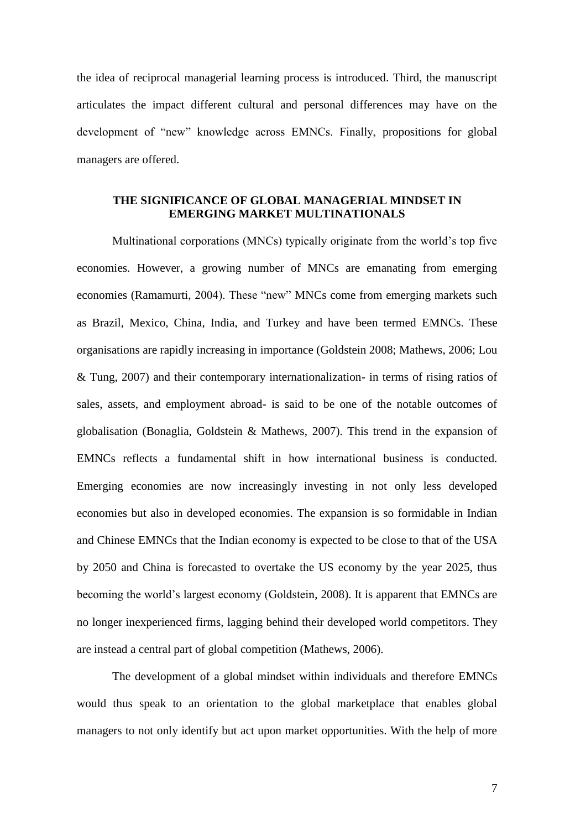the idea of reciprocal managerial learning process is introduced. Third, the manuscript articulates the impact different cultural and personal differences may have on the development of "new" knowledge across EMNCs. Finally, propositions for global managers are offered.

## **THE SIGNIFICANCE OF GLOBAL MANAGERIAL MINDSET IN EMERGING MARKET MULTINATIONALS**

Multinational corporations (MNCs) typically originate from the world's top five economies. However, a growing number of MNCs are emanating from emerging economies (Ramamurti, 2004). These "new" MNCs come from emerging markets such as Brazil, Mexico, China, India, and Turkey and have been termed EMNCs. These organisations are rapidly increasing in importance (Goldstein 2008; Mathews, 2006; Lou & Tung, 2007) and their contemporary internationalization- in terms of rising ratios of sales, assets, and employment abroad- is said to be one of the notable outcomes of globalisation (Bonaglia, Goldstein & Mathews, 2007). This trend in the expansion of EMNCs reflects a fundamental shift in how international business is conducted. Emerging economies are now increasingly investing in not only less developed economies but also in developed economies. The expansion is so formidable in Indian and Chinese EMNCs that the Indian economy is expected to be close to that of the USA by 2050 and China is forecasted to overtake the US economy by the year 2025, thus becoming the world's largest economy (Goldstein, 2008). It is apparent that EMNCs are no longer inexperienced firms, lagging behind their developed world competitors. They are instead a central part of global competition (Mathews, 2006).

The development of a global mindset within individuals and therefore EMNCs would thus speak to an orientation to the global marketplace that enables global managers to not only identify but act upon market opportunities. With the help of more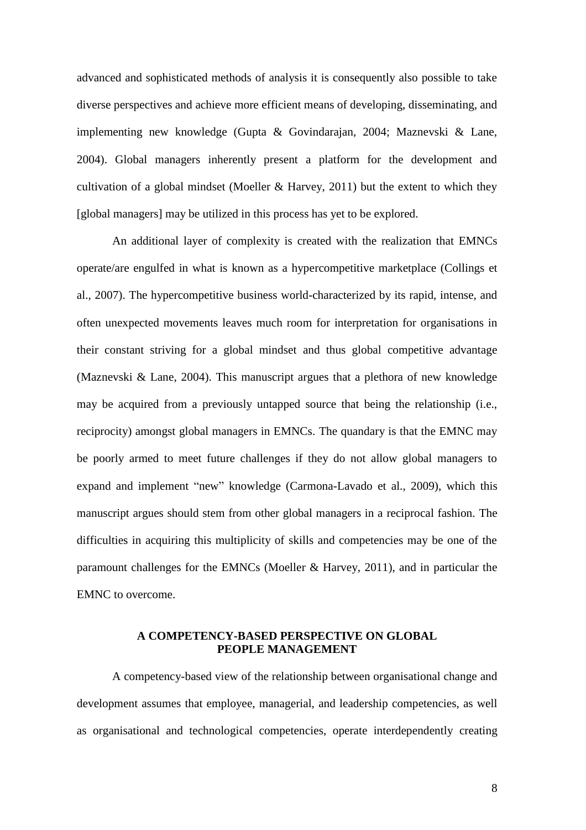advanced and sophisticated methods of analysis it is consequently also possible to take diverse perspectives and achieve more efficient means of developing, disseminating, and implementing new knowledge (Gupta & Govindarajan, 2004; Maznevski & Lane, 2004). Global managers inherently present a platform for the development and cultivation of a global mindset (Moeller & Harvey, 2011) but the extent to which they [global managers] may be utilized in this process has yet to be explored.

An additional layer of complexity is created with the realization that EMNCs operate/are engulfed in what is known as a hypercompetitive marketplace (Collings et al., 2007). The hypercompetitive business world-characterized by its rapid, intense, and often unexpected movements leaves much room for interpretation for organisations in their constant striving for a global mindset and thus global competitive advantage (Maznevski & Lane, 2004). This manuscript argues that a plethora of new knowledge may be acquired from a previously untapped source that being the relationship (i.e., reciprocity) amongst global managers in EMNCs. The quandary is that the EMNC may be poorly armed to meet future challenges if they do not allow global managers to expand and implement "new" knowledge (Carmona-Lavado et al., 2009), which this manuscript argues should stem from other global managers in a reciprocal fashion. The difficulties in acquiring this multiplicity of skills and competencies may be one of the paramount challenges for the EMNCs (Moeller & Harvey, 2011), and in particular the EMNC to overcome.

# **A COMPETENCY-BASED PERSPECTIVE ON GLOBAL PEOPLE MANAGEMENT**

A competency-based view of the relationship between organisational change and development assumes that employee, managerial, and leadership competencies, as well as organisational and technological competencies, operate interdependently creating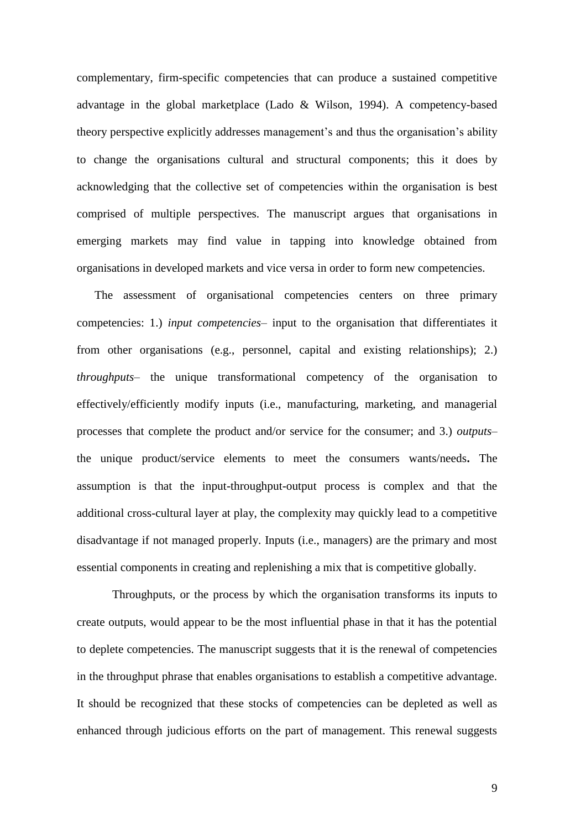complementary, firm-specific competencies that can produce a sustained competitive advantage in the global marketplace (Lado & Wilson, 1994). A competency-based theory perspective explicitly addresses management's and thus the organisation's ability to change the organisations cultural and structural components; this it does by acknowledging that the collective set of competencies within the organisation is best comprised of multiple perspectives. The manuscript argues that organisations in emerging markets may find value in tapping into knowledge obtained from organisations in developed markets and vice versa in order to form new competencies.

The assessment of organisational competencies centers on three primary competencies: 1.) *input competencies*– input to the organisation that differentiates it from other organisations (e.g., personnel, capital and existing relationships); 2.) *throughputs*– the unique transformational competency of the organisation to effectively/efficiently modify inputs (i.e., manufacturing, marketing, and managerial processes that complete the product and/or service for the consumer; and 3.) *outputs*– the unique product/service elements to meet the consumers wants/needs**.** The assumption is that the input-throughput-output process is complex and that the additional cross-cultural layer at play, the complexity may quickly lead to a competitive disadvantage if not managed properly. Inputs (i.e., managers) are the primary and most essential components in creating and replenishing a mix that is competitive globally.

Throughputs, or the process by which the organisation transforms its inputs to create outputs, would appear to be the most influential phase in that it has the potential to deplete competencies. The manuscript suggests that it is the renewal of competencies in the throughput phrase that enables organisations to establish a competitive advantage. It should be recognized that these stocks of competencies can be depleted as well as enhanced through judicious efforts on the part of management. This renewal suggests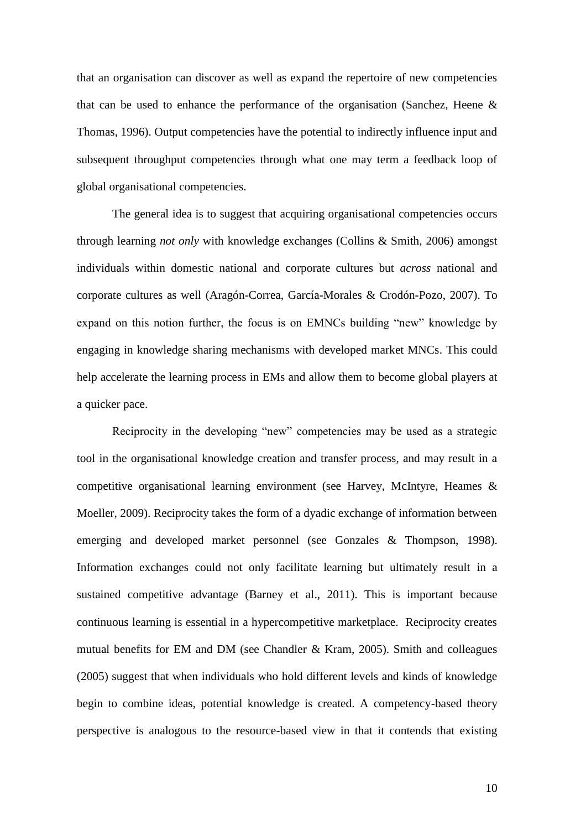that an organisation can discover as well as expand the repertoire of new competencies that can be used to enhance the performance of the organisation (Sanchez, Heene  $\&$ Thomas, 1996). Output competencies have the potential to indirectly influence input and subsequent throughput competencies through what one may term a feedback loop of global organisational competencies.

The general idea is to suggest that acquiring organisational competencies occurs through learning *not only* with knowledge exchanges (Collins & Smith, 2006) amongst individuals within domestic national and corporate cultures but *across* national and corporate cultures as well (Aragón-Correa, García-Morales & Crodón-Pozo, 2007). To expand on this notion further, the focus is on EMNCs building "new" knowledge by engaging in knowledge sharing mechanisms with developed market MNCs. This could help accelerate the learning process in EMs and allow them to become global players at a quicker pace.

Reciprocity in the developing "new" competencies may be used as a strategic tool in the organisational knowledge creation and transfer process, and may result in a competitive organisational learning environment (see Harvey, McIntyre, Heames & Moeller, 2009). Reciprocity takes the form of a dyadic exchange of information between emerging and developed market personnel (see Gonzales & Thompson, 1998). Information exchanges could not only facilitate learning but ultimately result in a sustained competitive advantage (Barney et al., 2011). This is important because continuous learning is essential in a hypercompetitive marketplace. Reciprocity creates mutual benefits for EM and DM (see Chandler & Kram, 2005). Smith and colleagues (2005) suggest that when individuals who hold different levels and kinds of knowledge begin to combine ideas, potential knowledge is created. A competency-based theory perspective is analogous to the resource-based view in that it contends that existing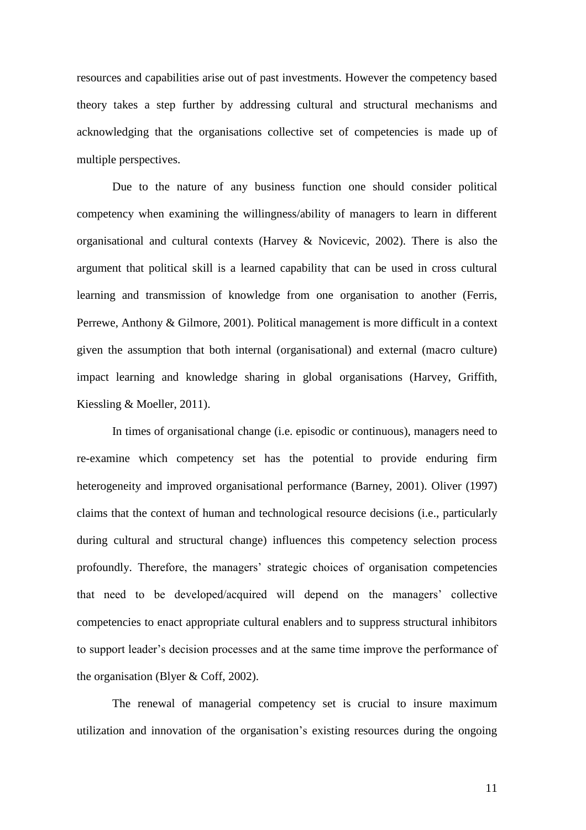resources and capabilities arise out of past investments. However the competency based theory takes a step further by addressing cultural and structural mechanisms and acknowledging that the organisations collective set of competencies is made up of multiple perspectives.

Due to the nature of any business function one should consider political competency when examining the willingness/ability of managers to learn in different organisational and cultural contexts (Harvey & Novicevic, 2002). There is also the argument that political skill is a learned capability that can be used in cross cultural learning and transmission of knowledge from one organisation to another (Ferris, Perrewe, Anthony & Gilmore, 2001). Political management is more difficult in a context given the assumption that both internal (organisational) and external (macro culture) impact learning and knowledge sharing in global organisations (Harvey, Griffith, Kiessling & Moeller, 2011).

In times of organisational change (i.e. episodic or continuous), managers need to re-examine which competency set has the potential to provide enduring firm heterogeneity and improved organisational performance (Barney, 2001). Oliver (1997) claims that the context of human and technological resource decisions (i.e., particularly during cultural and structural change) influences this competency selection process profoundly. Therefore, the managers' strategic choices of organisation competencies that need to be developed/acquired will depend on the managers' collective competencies to enact appropriate cultural enablers and to suppress structural inhibitors to support leader's decision processes and at the same time improve the performance of the organisation (Blyer & Coff, 2002).

The renewal of managerial competency set is crucial to insure maximum utilization and innovation of the organisation's existing resources during the ongoing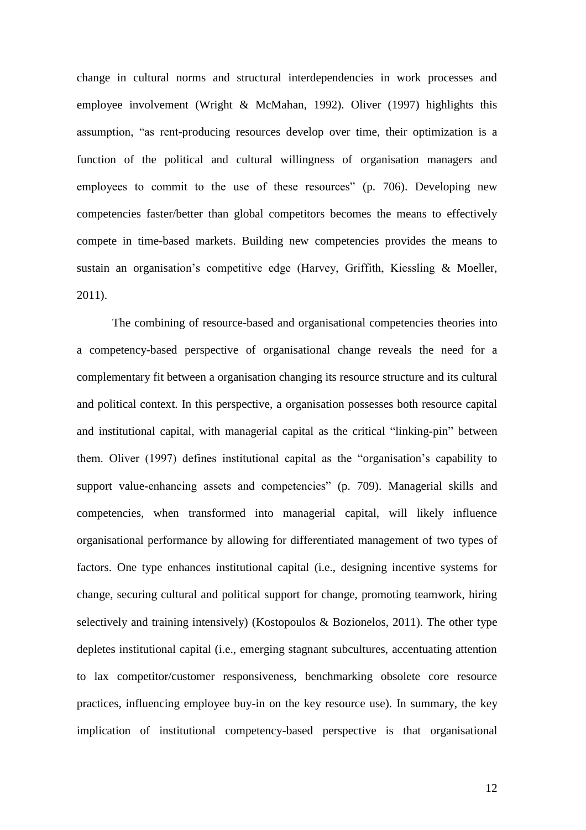change in cultural norms and structural interdependencies in work processes and employee involvement (Wright & McMahan, 1992). Oliver (1997) highlights this assumption, "as rent-producing resources develop over time, their optimization is a function of the political and cultural willingness of organisation managers and employees to commit to the use of these resources" (p. 706). Developing new competencies faster/better than global competitors becomes the means to effectively compete in time-based markets. Building new competencies provides the means to sustain an organisation's competitive edge (Harvey, Griffith, Kiessling & Moeller, 2011).

The combining of resource-based and organisational competencies theories into a competency-based perspective of organisational change reveals the need for a complementary fit between a organisation changing its resource structure and its cultural and political context. In this perspective, a organisation possesses both resource capital and institutional capital, with managerial capital as the critical "linking-pin" between them. Oliver (1997) defines institutional capital as the "organisation's capability to support value-enhancing assets and competencies" (p. 709). Managerial skills and competencies, when transformed into managerial capital, will likely influence organisational performance by allowing for differentiated management of two types of factors. One type enhances institutional capital (i.e., designing incentive systems for change, securing cultural and political support for change, promoting teamwork, hiring selectively and training intensively) (Kostopoulos & Bozionelos, 2011). The other type depletes institutional capital (i.e., emerging stagnant subcultures, accentuating attention to lax competitor/customer responsiveness, benchmarking obsolete core resource practices, influencing employee buy-in on the key resource use). In summary, the key implication of institutional competency-based perspective is that organisational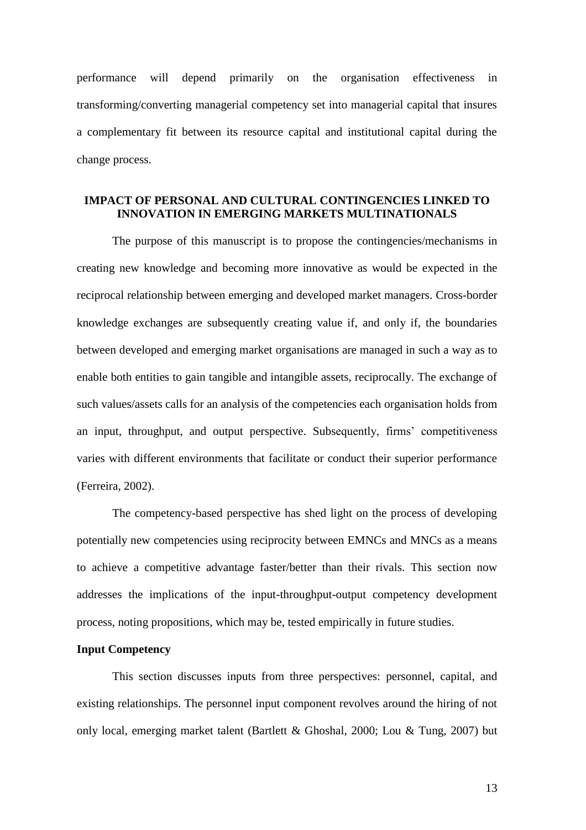performance will depend primarily on the organisation effectiveness in transforming/converting managerial competency set into managerial capital that insures a complementary fit between its resource capital and institutional capital during the change process.

# **IMPACT OF PERSONAL AND CULTURAL CONTINGENCIES LINKED TO INNOVATION IN EMERGING MARKETS MULTINATIONALS**

The purpose of this manuscript is to propose the contingencies/mechanisms in creating new knowledge and becoming more innovative as would be expected in the reciprocal relationship between emerging and developed market managers. Cross-border knowledge exchanges are subsequently creating value if, and only if, the boundaries between developed and emerging market organisations are managed in such a way as to enable both entities to gain tangible and intangible assets, reciprocally. The exchange of such values/assets calls for an analysis of the competencies each organisation holds from an input, throughput, and output perspective. Subsequently, firms' competitiveness varies with different environments that facilitate or conduct their superior performance (Ferreira, 2002).

The competency-based perspective has shed light on the process of developing potentially new competencies using reciprocity between EMNCs and MNCs as a means to achieve a competitive advantage faster/better than their rivals. This section now addresses the implications of the input-throughput-output competency development process, noting propositions, which may be, tested empirically in future studies.

### **Input Competency**

This section discusses inputs from three perspectives: personnel, capital, and existing relationships. The personnel input component revolves around the hiring of not only local, emerging market talent (Bartlett & Ghoshal, 2000; Lou & Tung, 2007) but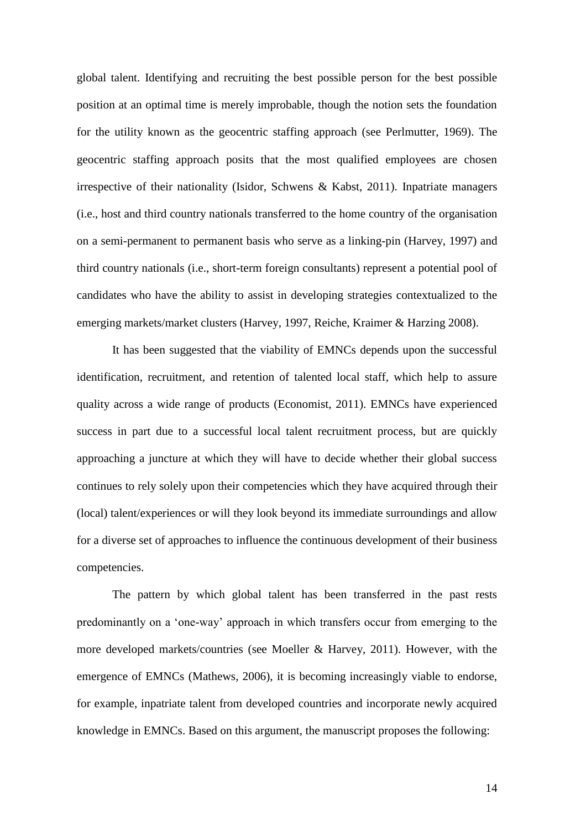global talent. Identifying and recruiting the best possible person for the best possible position at an optimal time is merely improbable, though the notion sets the foundation for the utility known as the geocentric staffing approach (see Perlmutter, 1969). The geocentric staffing approach posits that the most qualified employees are chosen irrespective of their nationality (Isidor, Schwens & Kabst, 2011). Inpatriate managers (i.e., host and third country nationals transferred to the home country of the organisation on a semi-permanent to permanent basis who serve as a linking-pin (Harvey, 1997) and third country nationals (i.e., short-term foreign consultants) represent a potential pool of candidates who have the ability to assist in developing strategies contextualized to the emerging markets/market clusters (Harvey, 1997, Reiche, Kraimer & Harzing 2008).

It has been suggested that the viability of EMNCs depends upon the successful identification, recruitment, and retention of talented local staff, which help to assure quality across a wide range of products (Economist, 2011). EMNCs have experienced success in part due to a successful local talent recruitment process, but are quickly approaching a juncture at which they will have to decide whether their global success continues to rely solely upon their competencies which they have acquired through their (local) talent/experiences or will they look beyond its immediate surroundings and allow for a diverse set of approaches to influence the continuous development of their business competencies.

The pattern by which global talent has been transferred in the past rests predominantly on a 'one-way' approach in which transfers occur from emerging to the more developed markets/countries (see Moeller & Harvey, 2011). However, with the emergence of EMNCs (Mathews, 2006), it is becoming increasingly viable to endorse, for example, inpatriate talent from developed countries and incorporate newly acquired knowledge in EMNCs. Based on this argument, the manuscript proposes the following: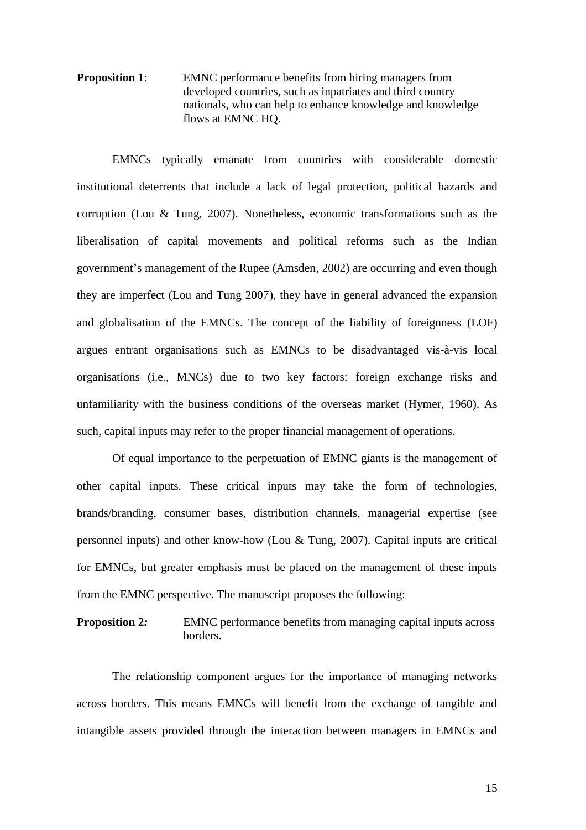**Proposition 1:** EMNC performance benefits from hiring managers from developed countries, such as inpatriates and third country nationals, who can help to enhance knowledge and knowledge flows at EMNC HQ.

EMNCs typically emanate from countries with considerable domestic institutional deterrents that include a lack of legal protection, political hazards and corruption (Lou & Tung, 2007). Nonetheless, economic transformations such as the liberalisation of capital movements and political reforms such as the Indian government's management of the Rupee (Amsden, 2002) are occurring and even though they are imperfect (Lou and Tung 2007), they have in general advanced the expansion and globalisation of the EMNCs. The concept of the liability of foreignness (LOF) argues entrant organisations such as EMNCs to be disadvantaged vis-à-vis local organisations (i.e., MNCs) due to two key factors: foreign exchange risks and unfamiliarity with the business conditions of the overseas market (Hymer, 1960). As such, capital inputs may refer to the proper financial management of operations.

Of equal importance to the perpetuation of EMNC giants is the management of other capital inputs. These critical inputs may take the form of technologies, brands/branding, consumer bases, distribution channels, managerial expertise (see personnel inputs) and other know-how (Lou & Tung, 2007). Capital inputs are critical for EMNCs, but greater emphasis must be placed on the management of these inputs from the EMNC perspective. The manuscript proposes the following:

**Proposition 2:** EMNC performance benefits from managing capital inputs across borders.

The relationship component argues for the importance of managing networks across borders. This means EMNCs will benefit from the exchange of tangible and intangible assets provided through the interaction between managers in EMNCs and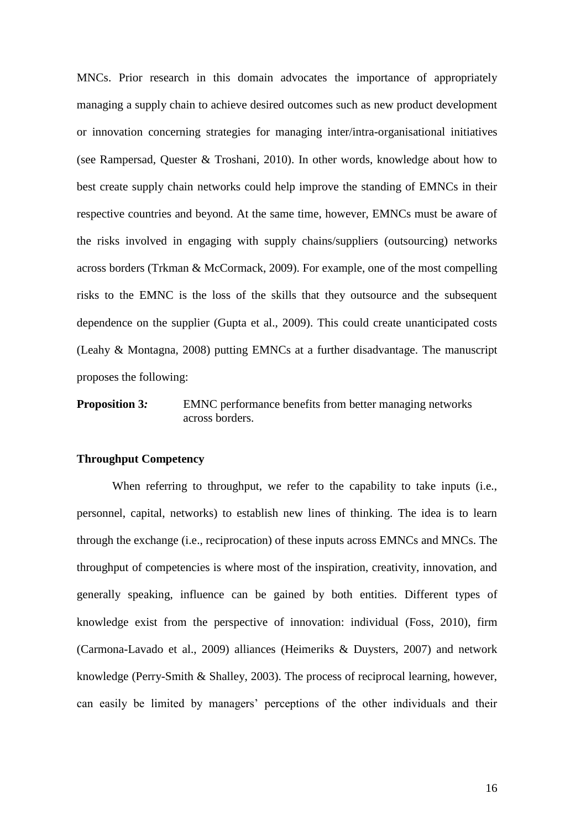MNCs. Prior research in this domain advocates the importance of appropriately managing a supply chain to achieve desired outcomes such as new product development or innovation concerning strategies for managing inter/intra-organisational initiatives (see Rampersad, Quester & Troshani, 2010). In other words, knowledge about how to best create supply chain networks could help improve the standing of EMNCs in their respective countries and beyond. At the same time, however, EMNCs must be aware of the risks involved in engaging with supply chains/suppliers (outsourcing) networks across borders (Trkman & McCormack, 2009). For example, one of the most compelling risks to the EMNC is the loss of the skills that they outsource and the subsequent dependence on the supplier (Gupta et al., 2009). This could create unanticipated costs (Leahy & Montagna, 2008) putting EMNCs at a further disadvantage. The manuscript proposes the following:

# **Proposition 3:** EMNC performance benefits from better managing networks across borders.

### **Throughput Competency**

When referring to throughput, we refer to the capability to take inputs (i.e., personnel, capital, networks) to establish new lines of thinking. The idea is to learn through the exchange (i.e., reciprocation) of these inputs across EMNCs and MNCs. The throughput of competencies is where most of the inspiration, creativity, innovation, and generally speaking, influence can be gained by both entities. Different types of knowledge exist from the perspective of innovation: individual (Foss, 2010), firm (Carmona-Lavado et al., 2009) alliances (Heimeriks & Duysters, 2007) and network knowledge (Perry-Smith & Shalley, 2003). The process of reciprocal learning, however, can easily be limited by managers' perceptions of the other individuals and their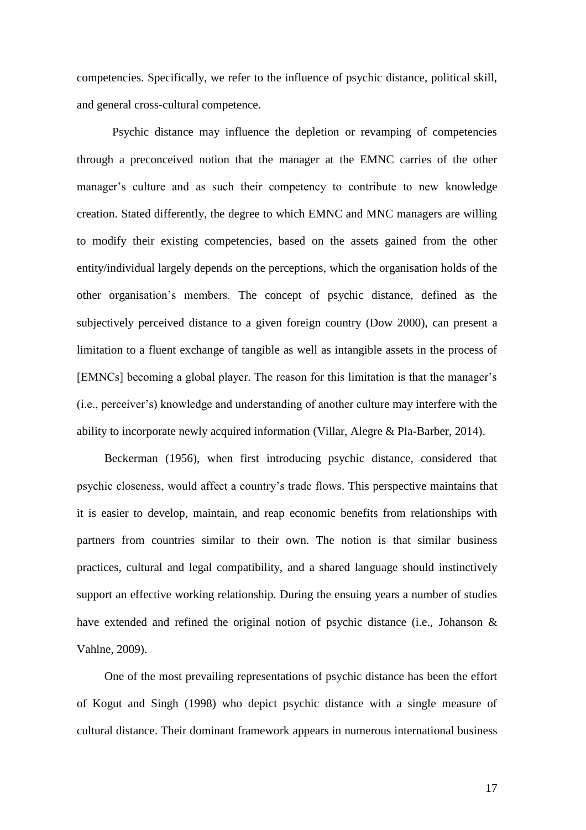competencies. Specifically, we refer to the influence of psychic distance, political skill, and general cross-cultural competence.

Psychic distance may influence the depletion or revamping of competencies through a preconceived notion that the manager at the EMNC carries of the other manager's culture and as such their competency to contribute to new knowledge creation. Stated differently, the degree to which EMNC and MNC managers are willing to modify their existing competencies, based on the assets gained from the other entity/individual largely depends on the perceptions, which the organisation holds of the other organisation's members. The concept of psychic distance, defined as the subjectively perceived distance to a given foreign country (Dow 2000), can present a limitation to a fluent exchange of tangible as well as intangible assets in the process of [EMNCs] becoming a global player. The reason for this limitation is that the manager's (i.e., perceiver's) knowledge and understanding of another culture may interfere with the ability to incorporate newly acquired information (Villar, Alegre & Pla-Barber, 2014).

Beckerman (1956), when first introducing psychic distance, considered that psychic closeness, would affect a country's trade flows. This perspective maintains that it is easier to develop, maintain, and reap economic benefits from relationships with partners from countries similar to their own. The notion is that similar business practices, cultural and legal compatibility, and a shared language should instinctively support an effective working relationship. During the ensuing years a number of studies have extended and refined the original notion of psychic distance (i.e., Johanson & Vahlne, 2009).

One of the most prevailing representations of psychic distance has been the effort of Kogut and Singh (1998) who depict psychic distance with a single measure of cultural distance. Their dominant framework appears in numerous international business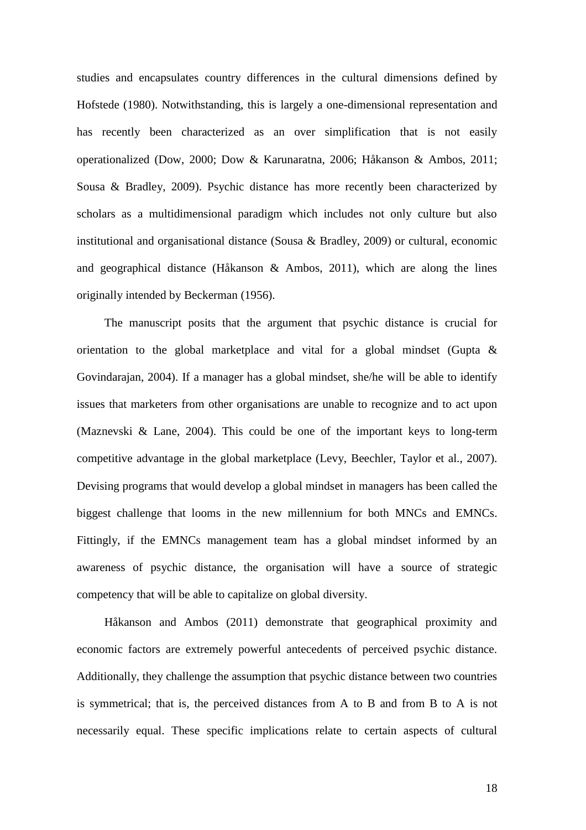studies and encapsulates country differences in the cultural dimensions defined by Hofstede (1980). Notwithstanding, this is largely a one-dimensional representation and has recently been characterized as an over simplification that is not easily operationalized (Dow, 2000; Dow & Karunaratna, 2006; Håkanson & Ambos, 2011; Sousa & Bradley, 2009). Psychic distance has more recently been characterized by scholars as a multidimensional paradigm which includes not only culture but also institutional and organisational distance (Sousa & Bradley, 2009) or cultural, economic and geographical distance (Håkanson & Ambos, 2011), which are along the lines originally intended by Beckerman (1956).

The manuscript posits that the argument that psychic distance is crucial for orientation to the global marketplace and vital for a global mindset (Gupta & Govindarajan, 2004). If a manager has a global mindset, she/he will be able to identify issues that marketers from other organisations are unable to recognize and to act upon (Maznevski & Lane, 2004). This could be one of the important keys to long-term competitive advantage in the global marketplace (Levy, Beechler, Taylor et al., 2007). Devising programs that would develop a global mindset in managers has been called the biggest challenge that looms in the new millennium for both MNCs and EMNCs. Fittingly, if the EMNCs management team has a global mindset informed by an awareness of psychic distance, the organisation will have a source of strategic competency that will be able to capitalize on global diversity.

Håkanson and Ambos (2011) demonstrate that geographical proximity and economic factors are extremely powerful antecedents of perceived psychic distance. Additionally, they challenge the assumption that psychic distance between two countries is symmetrical; that is, the perceived distances from A to B and from B to A is not necessarily equal. These specific implications relate to certain aspects of cultural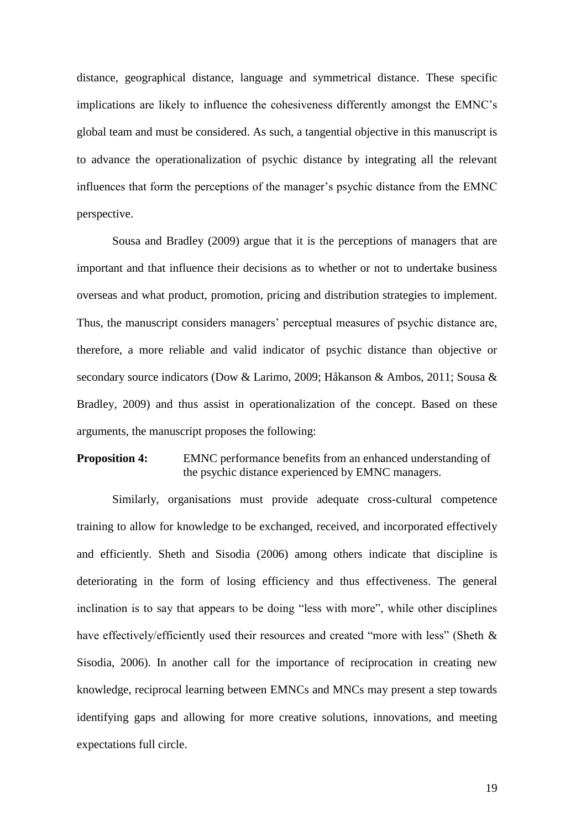distance, geographical distance, language and symmetrical distance. These specific implications are likely to influence the cohesiveness differently amongst the EMNC's global team and must be considered. As such, a tangential objective in this manuscript is to advance the operationalization of psychic distance by integrating all the relevant influences that form the perceptions of the manager's psychic distance from the EMNC perspective.

Sousa and Bradley (2009) argue that it is the perceptions of managers that are important and that influence their decisions as to whether or not to undertake business overseas and what product, promotion, pricing and distribution strategies to implement. Thus, the manuscript considers managers' perceptual measures of psychic distance are, therefore, a more reliable and valid indicator of psychic distance than objective or secondary source indicators (Dow & Larimo, 2009; Håkanson & Ambos, 2011; Sousa & Bradley, 2009) and thus assist in operationalization of the concept. Based on these arguments, the manuscript proposes the following:

# **Proposition 4:** EMNC performance benefits from an enhanced understanding of the psychic distance experienced by EMNC managers.

Similarly, organisations must provide adequate cross-cultural competence training to allow for knowledge to be exchanged, received, and incorporated effectively and efficiently. Sheth and Sisodia (2006) among others indicate that discipline is deteriorating in the form of losing efficiency and thus effectiveness. The general inclination is to say that appears to be doing "less with more", while other disciplines have effectively/efficiently used their resources and created "more with less" (Sheth & Sisodia, 2006). In another call for the importance of reciprocation in creating new knowledge, reciprocal learning between EMNCs and MNCs may present a step towards identifying gaps and allowing for more creative solutions, innovations, and meeting expectations full circle.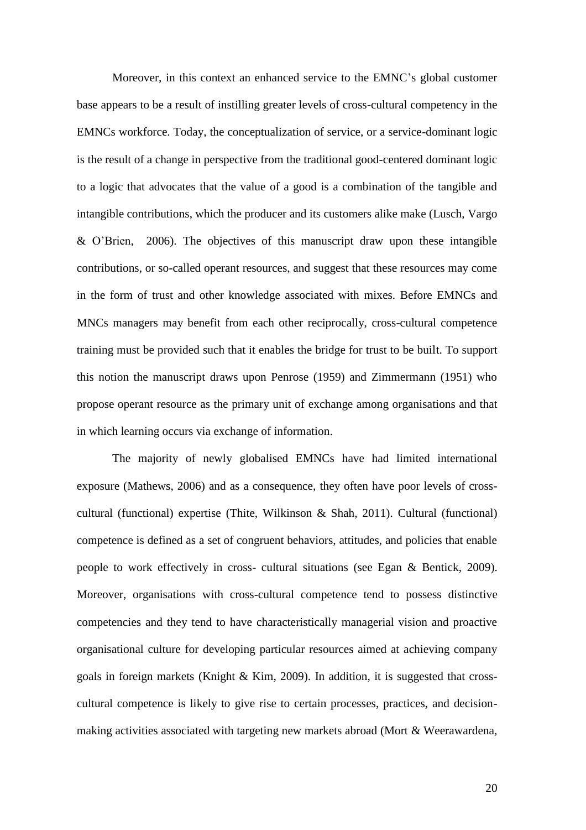Moreover, in this context an enhanced service to the EMNC's global customer base appears to be a result of instilling greater levels of cross-cultural competency in the EMNCs workforce. Today, the conceptualization of service, or a service-dominant logic is the result of a change in perspective from the traditional good-centered dominant logic to a logic that advocates that the value of a good is a combination of the tangible and intangible contributions, which the producer and its customers alike make (Lusch, Vargo & O'Brien, 2006). The objectives of this manuscript draw upon these intangible contributions, or so-called operant resources, and suggest that these resources may come in the form of trust and other knowledge associated with mixes. Before EMNCs and MNCs managers may benefit from each other reciprocally, cross-cultural competence training must be provided such that it enables the bridge for trust to be built. To support this notion the manuscript draws upon Penrose (1959) and Zimmermann (1951) who propose operant resource as the primary unit of exchange among organisations and that in which learning occurs via exchange of information.

The majority of newly globalised EMNCs have had limited international exposure (Mathews, 2006) and as a consequence, they often have poor levels of crosscultural (functional) expertise (Thite, Wilkinson & Shah, 2011). Cultural (functional) competence is defined as a set of congruent behaviors, attitudes, and policies that enable people to work effectively in cross- cultural situations (see Egan & Bentick, 2009). Moreover, organisations with cross-cultural competence tend to possess distinctive competencies and they tend to have characteristically managerial vision and proactive organisational culture for developing particular resources aimed at achieving company goals in foreign markets (Knight & Kim, 2009). In addition, it is suggested that crosscultural competence is likely to give rise to certain processes, practices, and decisionmaking activities associated with targeting new markets abroad (Mort & Weerawardena,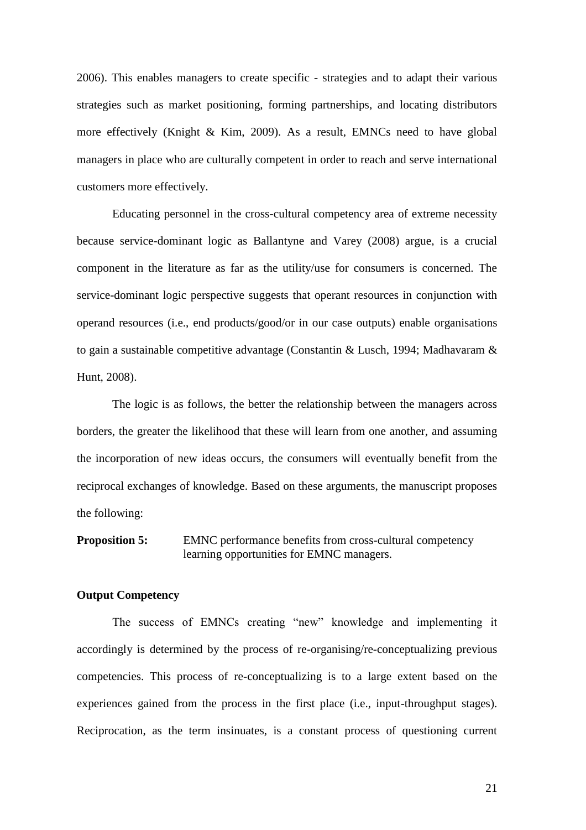2006). This enables managers to create specific - strategies and to adapt their various strategies such as market positioning, forming partnerships, and locating distributors more effectively (Knight & Kim, 2009). As a result, EMNCs need to have global managers in place who are culturally competent in order to reach and serve international customers more effectively.

Educating personnel in the cross-cultural competency area of extreme necessity because service-dominant logic as Ballantyne and Varey (2008) argue, is a crucial component in the literature as far as the utility/use for consumers is concerned. The service-dominant logic perspective suggests that operant resources in conjunction with operand resources (i.e., end products/good/or in our case outputs) enable organisations to gain a sustainable competitive advantage (Constantin & Lusch, 1994; Madhavaram & Hunt, 2008).

The logic is as follows, the better the relationship between the managers across borders, the greater the likelihood that these will learn from one another, and assuming the incorporation of new ideas occurs, the consumers will eventually benefit from the reciprocal exchanges of knowledge. Based on these arguments, the manuscript proposes the following:

**Proposition 5:** EMNC performance benefits from cross-cultural competency learning opportunities for EMNC managers.

### **Output Competency**

The success of EMNCs creating "new" knowledge and implementing it accordingly is determined by the process of re-organising/re-conceptualizing previous competencies. This process of re-conceptualizing is to a large extent based on the experiences gained from the process in the first place (i.e., input-throughput stages). Reciprocation, as the term insinuates, is a constant process of questioning current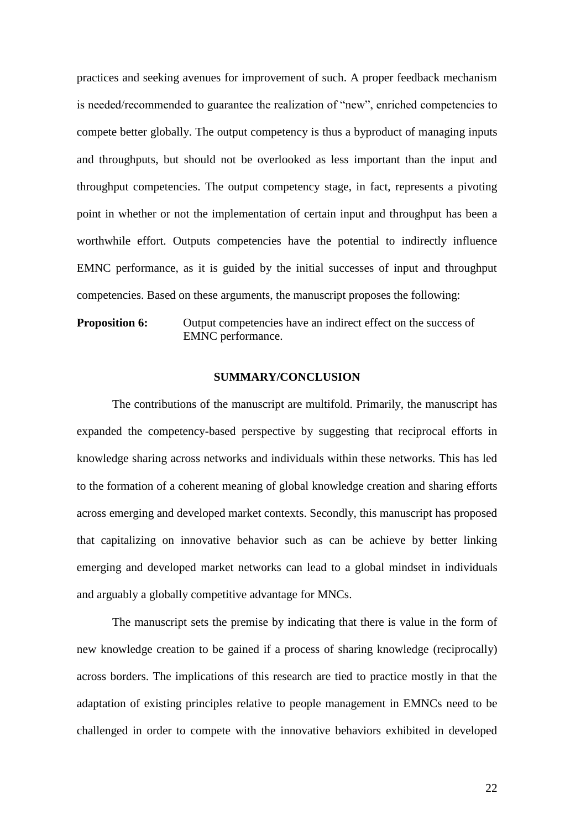practices and seeking avenues for improvement of such. A proper feedback mechanism is needed/recommended to guarantee the realization of "new", enriched competencies to compete better globally. The output competency is thus a byproduct of managing inputs and throughputs, but should not be overlooked as less important than the input and throughput competencies. The output competency stage, in fact, represents a pivoting point in whether or not the implementation of certain input and throughput has been a worthwhile effort. Outputs competencies have the potential to indirectly influence EMNC performance, as it is guided by the initial successes of input and throughput competencies. Based on these arguments, the manuscript proposes the following:

**Proposition 6:** Output competencies have an indirect effect on the success of EMNC performance.

## **SUMMARY/CONCLUSION**

The contributions of the manuscript are multifold. Primarily, the manuscript has expanded the competency-based perspective by suggesting that reciprocal efforts in knowledge sharing across networks and individuals within these networks. This has led to the formation of a coherent meaning of global knowledge creation and sharing efforts across emerging and developed market contexts. Secondly, this manuscript has proposed that capitalizing on innovative behavior such as can be achieve by better linking emerging and developed market networks can lead to a global mindset in individuals and arguably a globally competitive advantage for MNCs.

The manuscript sets the premise by indicating that there is value in the form of new knowledge creation to be gained if a process of sharing knowledge (reciprocally) across borders. The implications of this research are tied to practice mostly in that the adaptation of existing principles relative to people management in EMNCs need to be challenged in order to compete with the innovative behaviors exhibited in developed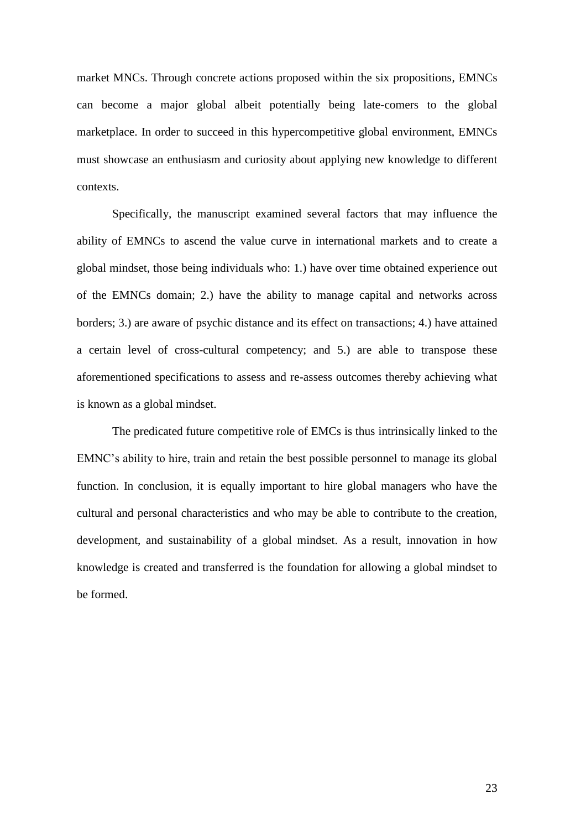market MNCs. Through concrete actions proposed within the six propositions, EMNCs can become a major global albeit potentially being late-comers to the global marketplace. In order to succeed in this hypercompetitive global environment, EMNCs must showcase an enthusiasm and curiosity about applying new knowledge to different contexts.

Specifically, the manuscript examined several factors that may influence the ability of EMNCs to ascend the value curve in international markets and to create a global mindset, those being individuals who: 1.) have over time obtained experience out of the EMNCs domain; 2.) have the ability to manage capital and networks across borders; 3.) are aware of psychic distance and its effect on transactions; 4.) have attained a certain level of cross-cultural competency; and 5.) are able to transpose these aforementioned specifications to assess and re-assess outcomes thereby achieving what is known as a global mindset.

The predicated future competitive role of EMCs is thus intrinsically linked to the EMNC's ability to hire, train and retain the best possible personnel to manage its global function. In conclusion, it is equally important to hire global managers who have the cultural and personal characteristics and who may be able to contribute to the creation, development, and sustainability of a global mindset. As a result, innovation in how knowledge is created and transferred is the foundation for allowing a global mindset to be formed.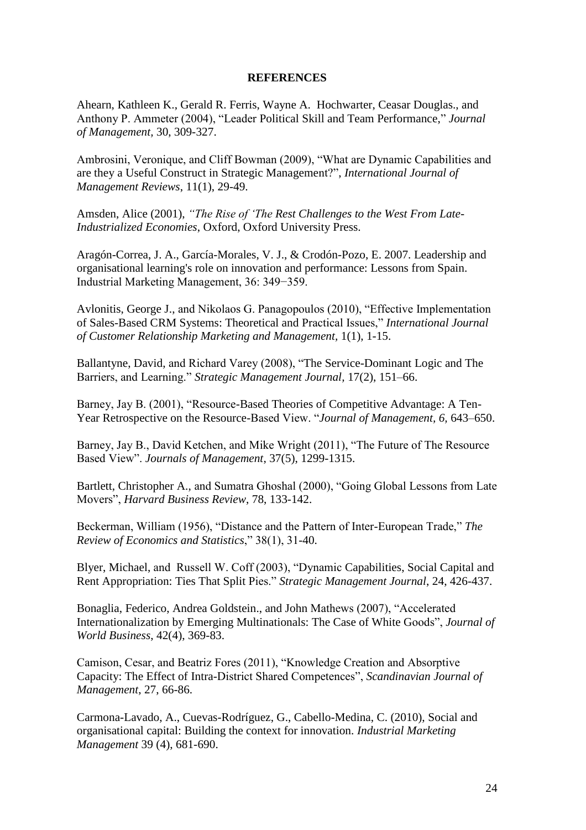## **REFERENCES**

Ahearn, Kathleen K., Gerald R. Ferris, Wayne A. Hochwarter, Ceasar Douglas., and Anthony P. Ammeter (2004), "Leader Political Skill and Team Performance," *Journal of Management,* 30, 309-327.

Ambrosini, Veronique, and Cliff Bowman (2009), "What are Dynamic Capabilities and are they a Useful Construct in Strategic Management?", *International Journal of Management Reviews*, 11(1), 29-49.

Amsden, Alice (2001), *"The Rise of 'The Rest Challenges to the West From Late-Industrialized Economies*, Oxford, Oxford University Press.

Aragón-Correa, J. A., García-Morales, V. J., & Crodón-Pozo, E. 2007. Leadership and organisational learning's role on innovation and performance: Lessons from Spain. Industrial Marketing Management, 36: 349−359.

Avlonitis, George J., and Nikolaos G. Panagopoulos (2010), "Effective Implementation of Sales-Based CRM Systems: Theoretical and Practical Issues," *International Journal of Customer Relationship Marketing and Management,* 1(1), 1-15.

Ballantyne, David, and Richard Varey (2008), "The Service-Dominant Logic and The Barriers, and Learning." *Strategic Management Journal,* 17(2), 151–66.

Barney, Jay B. (2001), "Resource-Based Theories of Competitive Advantage: A Ten-Year Retrospective on the Resource-Based View. "*Journal of Management, 6,* 643–650.

Barney, Jay B., David Ketchen, and Mike Wright (2011), "The Future of The Resource Based View". *Journals of Management*, 37(5), 1299-1315.

Bartlett, Christopher A., and Sumatra Ghoshal (2000), "Going Global Lessons from Late Movers", *Harvard Business Review*, 78, 133-142.

Beckerman, William (1956), "Distance and the Pattern of Inter-European Trade," *The Review of Economics and Statistics*," 38(1), 31-40.

Blyer, Michael, and Russell W. Coff (2003), "Dynamic Capabilities, Social Capital and Rent Appropriation: Ties That Split Pies." *Strategic Management Journal*, 24, 426-437.

Bonaglia, Federico, Andrea Goldstein., and John Mathews (2007), "Accelerated Internationalization by Emerging Multinationals: The Case of White Goods", *Journal of World Business*, 42(4), 369-83.

Camison, Cesar, and Beatriz Fores (2011), "Knowledge Creation and Absorptive Capacity: The Effect of Intra-District Shared Competences", *Scandinavian Journal of Management*, 27, 66-86.

Carmona-Lavado, A., Cuevas-Rodríguez, G., Cabello-Medina, C. (2010), Social and organisational capital: Building the context for innovation. *Industrial Marketing Management* 39 (4), 681-690.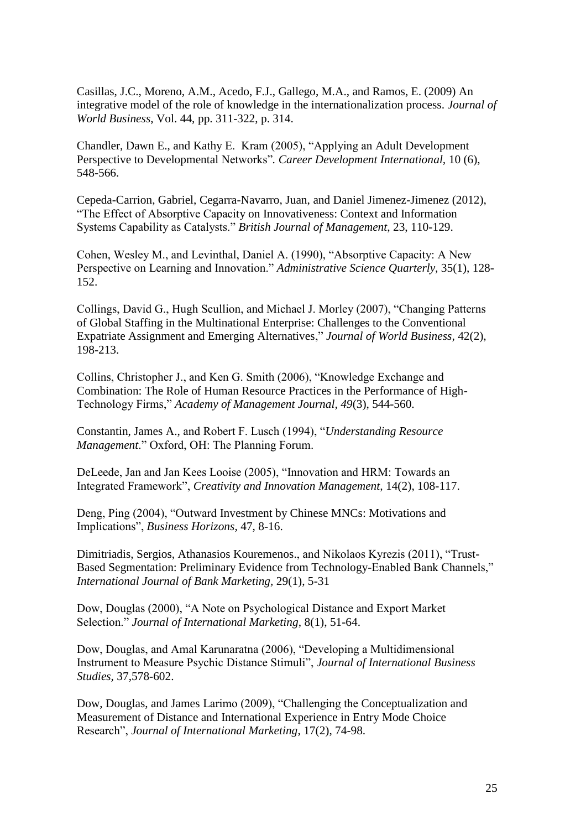Casillas, J.C., Moreno, A.M., Acedo, F.J., Gallego, M.A., and Ramos, E. (2009) An integrative model of the role of knowledge in the internationalization process. *Journal of World Business*, Vol. 44, pp. 311-322, p. 314.

Chandler, Dawn E., and Kathy E. Kram (2005), "Applying an Adult Development Perspective to Developmental Networks"*. Career Development International,* 10 (6), 548-566.

Cepeda-Carrion, Gabriel, Cegarra-Navarro, Juan, and Daniel Jimenez-Jimenez (2012), "The Effect of Absorptive Capacity on Innovativeness: Context and Information Systems Capability as Catalysts." *British Journal of Management*, 23, 110-129.

Cohen, Wesley M., and Levinthal, Daniel A. (1990), "Absorptive Capacity: A New Perspective on Learning and Innovation." *Administrative Science Quarterly,* 35(1), 128- 152.

Collings, David G., Hugh Scullion, and Michael J. Morley (2007), "Changing Patterns of Global Staffing in the Multinational Enterprise: Challenges to the Conventional Expatriate Assignment and Emerging Alternatives," *Journal of World Business,* 42(2), 198-213.

Collins, Christopher J., and Ken G. Smith (2006), "Knowledge Exchange and Combination: The Role of Human Resource Practices in the Performance of High-Technology Firms," *Academy of Management Journal, 49*(3), 544-560.

Constantin, James A., and Robert F. Lusch (1994), "*Understanding Resource Management*." Oxford, OH: The Planning Forum.

DeLeede, Jan and Jan Kees Looise (2005), "Innovation and HRM: Towards an Integrated Framework", *Creativity and Innovation Management,* 14(2), 108-117.

Deng, Ping (2004), "Outward Investment by Chinese MNCs: Motivations and Implications", *Business Horizons*, 47, 8-16.

Dimitriadis, Sergios, Athanasios Kouremenos., and Nikolaos Kyrezis (2011), "Trust-Based Segmentation: Preliminary Evidence from Technology-Enabled Bank Channels," *International Journal of Bank Marketing,* 29(1), 5-31

Dow, Douglas (2000), "A Note on Psychological Distance and Export Market Selection." *Journal of International Marketing*, 8(1), 51-64.

Dow, Douglas, and Amal Karunaratna (2006), "Developing a Multidimensional Instrument to Measure Psychic Distance Stimuli", *Journal of International Business Studies,* 37,578-602.

Dow, Douglas, and James Larimo (2009), "Challenging the Conceptualization and Measurement of Distance and International Experience in Entry Mode Choice Research", *Journal of International Marketing*, 17(2), 74-98.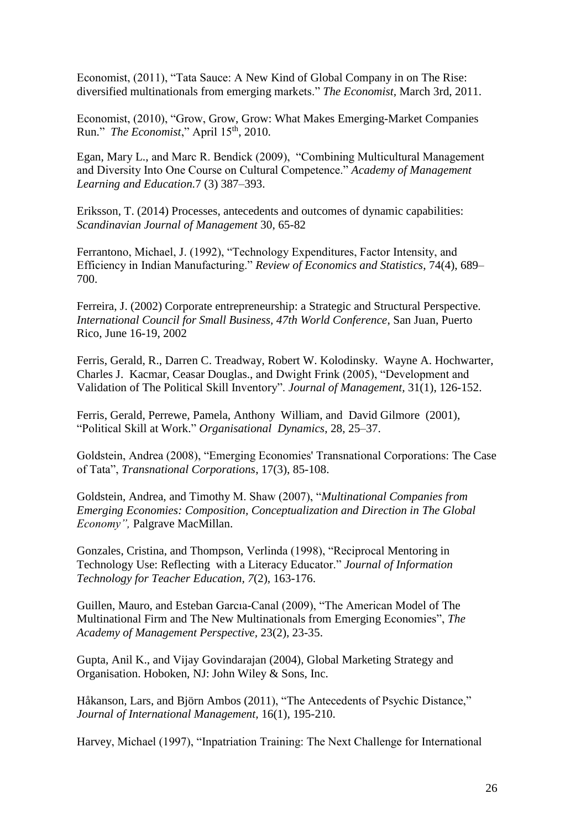Economist, (2011), "Tata Sauce: A New Kind of Global Company in on The Rise: diversified multinationals from emerging markets." *The Economist,* March 3rd, 2011.

Economist, (2010), "Grow, Grow, Grow: What Makes Emerging-Market Companies Run." *The Economist*," April 15<sup>th</sup>, 2010.

Egan, Mary L., and Marc R. Bendick (2009), "Combining Multicultural Management and Diversity Into One Course on Cultural Competence." *Academy of Management Learning and Education.*7 (3) 387–393.

Eriksson, T. (2014) Processes, antecedents and outcomes of dynamic capabilities: *Scandinavian Journal of Management* 30, 65-82

Ferrantono, Michael, J. (1992), "Technology Expenditures, Factor Intensity, and Efficiency in Indian Manufacturing." *Review of Economics and Statistics*, 74(4), 689– 700.

Ferreira, J. (2002) Corporate entrepreneurship: a Strategic and Structural Perspective. *International Council for Small Business, 47th World Conference*, San Juan, Puerto Rico, June 16-19, 2002

Ferris, Gerald, R., Darren C. Treadway, Robert W. Kolodinsky. Wayne A. Hochwarter, Charles J. Kacmar, Ceasar Douglas., and Dwight Frink (2005), "Development and Validation of The Political Skill Inventory". *Journal of Management,* 31(1), 126-152.

Ferris, Gerald, Perrewe, Pamela, Anthony William, and David Gilmore (2001), "Political Skill at Work." *Organisational Dynamics*, 28, 25–37.

Goldstein, Andrea (2008), "Emerging Economies' Transnational Corporations: The Case of Tata", *Transnational Corporations*, 17(3), 85-108.

Goldstein, Andrea, and Timothy M. Shaw (2007), "*Multinational Companies from Emerging Economies: Composition, Conceptualization and Direction in The Global Economy",* Palgrave MacMillan.

Gonzales, Cristina, and Thompson, Verlinda (1998), "Reciprocal Mentoring in Technology Use: Reflecting with a Literacy Educator." *Journal of Information Technology for Teacher Education, 7*(2), 163-176.

Guillen, Mauro, and Esteban Garcıa-Canal (2009), "The American Model of The Multinational Firm and The New Multinationals from Emerging Economies", *The Academy of Management Perspective,* 23(2), 23-35.

Gupta, Anil K., and Vijay Govindarajan (2004), Global Marketing Strategy and Organisation. Hoboken, NJ: John Wiley & Sons, Inc.

Håkanson, Lars, and Björn Ambos (2011), "The Antecedents of Psychic Distance," *Journal of International Management,* 16(1), 195-210.

Harvey, Michael (1997), "Inpatriation Training: The Next Challenge for International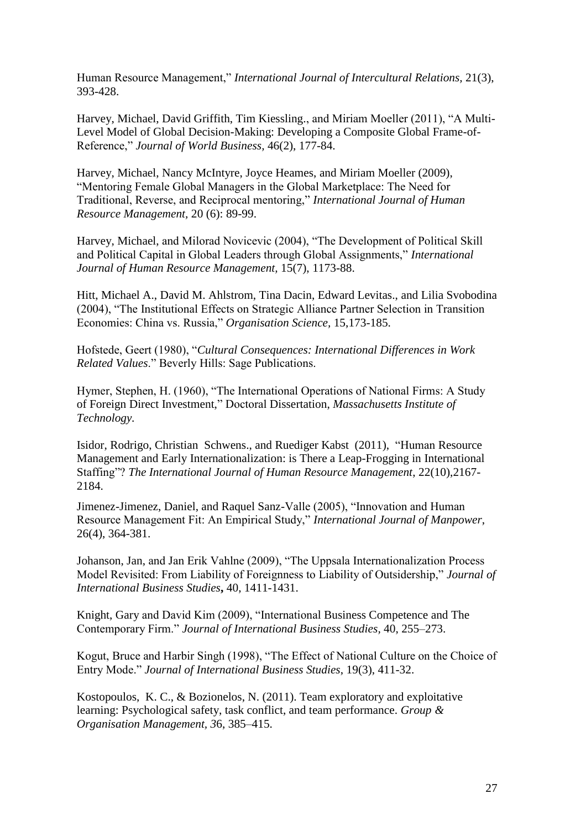Human Resource Management," *International Journal of Intercultural Relations,* 21(3), 393-428.

Harvey, Michael, David Griffith, Tim Kiessling., and Miriam Moeller (2011), "A Multi-Level Model of Global Decision-Making: Developing a Composite Global Frame-of-Reference," *Journal of World Business,* 46(2), 177-84.

Harvey, Michael, Nancy McIntyre, Joyce Heames, and Miriam Moeller (2009), "Mentoring Female Global Managers in the Global Marketplace: The Need for Traditional, Reverse, and Reciprocal mentoring," *International Journal of Human Resource Management,* 20 (6): 89-99.

Harvey, Michael, and Milorad Novicevic (2004), "The Development of Political Skill and Political Capital in Global Leaders through Global Assignments," *International Journal of Human Resource Management,* 15(7), 1173-88.

Hitt, Michael A., David M. Ahlstrom, Tina Dacin, Edward Levitas., and Lilia Svobodina (2004), "The Institutional Effects on Strategic Alliance Partner Selection in Transition Economies: China vs. Russia," *Organisation Science,* 15,173-185.

Hofstede, Geert (1980), "*Cultural Consequences: International Differences in Work Related Values*." Beverly Hills: Sage Publications.

Hymer, Stephen, H. (1960), "The International Operations of National Firms: A Study of Foreign Direct Investment," Doctoral Dissertation, *Massachusetts Institute of Technology.*

Isidor, Rodrigo, Christian Schwens., and Ruediger Kabst (2011), "Human Resource Management and Early Internationalization: is There a Leap-Frogging in International Staffing"? *The International Journal of Human Resource Management*, 22(10),2167- 2184.

Jimenez-Jimenez, Daniel, and Raquel Sanz-Valle (2005), "Innovation and Human Resource Management Fit: An Empirical Study," *International Journal of Manpower*, 26(4), 364-381.

Johanson, Jan, and Jan Erik Vahlne (2009), "The Uppsala Internationalization Process Model Revisited: From Liability of Foreignness to Liability of Outsidership," *Journal of International Business Studies***,** 40, 1411-1431.

Knight, Gary and David Kim (2009), "International Business Competence and The Contemporary Firm." *Journal of International Business Studies,* 40, 255–273.

Kogut, Bruce and Harbir Singh (1998), "The Effect of National Culture on the Choice of Entry Mode." *Journal of International Business Studies*, 19(3), 411-32.

Kostopoulos, K. C., & Bozionelos, N. (2011). Team exploratory and exploitative learning: Psychological safety, task conflict, and team performance. *Group & Organisation Management, 3*6, 385–415.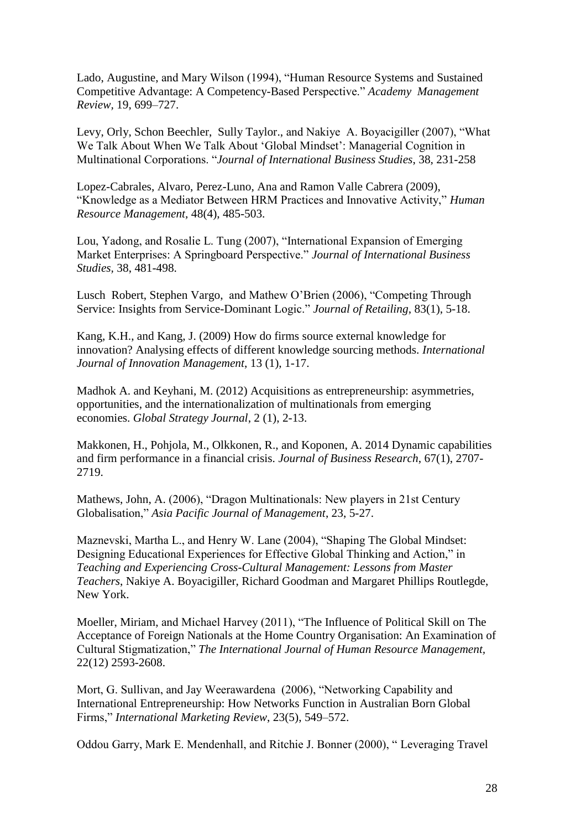Lado, Augustine, and Mary Wilson (1994), "Human Resource Systems and Sustained Competitive Advantage: A Competency-Based Perspective." *Academy Management Review,* 19, 699–727.

Levy, Orly, Schon Beechler, Sully Taylor., and Nakiye A. Boyacigiller (2007), "What We Talk About When We Talk About 'Global Mindset': Managerial Cognition in Multinational Corporations. "*Journal of International Business Studies*, 38, 231-258

Lopez-Cabrales, Alvaro, Perez-Luno, Ana and Ramon Valle Cabrera (2009), "Knowledge as a Mediator Between HRM Practices and Innovative Activity," *Human Resource Management,* 48(4), 485-503.

Lou, Yadong, and Rosalie L. Tung (2007), "International Expansion of Emerging Market Enterprises: A Springboard Perspective." *Journal of International Business Studies,* 38, 481-498.

Lusch Robert, Stephen Vargo, and Mathew O'Brien (2006), "Competing Through Service: Insights from Service-Dominant Logic." *Journal of Retailing*, 83(1), 5-18.

Kang, K.H., and Kang, J. (2009) How do firms source external knowledge for innovation? Analysing effects of different knowledge sourcing methods. *International Journal of Innovation Management*, 13 (1), 1-17.

Madhok A. and Keyhani, M. (2012) Acquisitions as entrepreneurship: asymmetries, opportunities, and the internationalization of multinationals from emerging economies. *Global Strategy Journal*, 2 (1), 2-13.

Makkonen, H., Pohjola, M., Olkkonen, R., and Koponen, A. 2014 Dynamic capabilities and firm performance in a financial crisis. *Journal of Business Research*, 67(1), 2707- 2719.

Mathews, John, A. (2006), "Dragon Multinationals: New players in 21st Century Globalisation," *Asia Pacific Journal of Management*, 23, 5-27.

Maznevski, Martha L., and Henry W. Lane (2004), "Shaping The Global Mindset: Designing Educational Experiences for Effective Global Thinking and Action," in *Teaching and Experiencing Cross-Cultural Management: Lessons from Master Teachers*, Nakiye A. Boyacigiller, Richard Goodman and Margaret Phillips Routlegde, New York.

Moeller, Miriam, and Michael Harvey (2011), "The Influence of Political Skill on The Acceptance of Foreign Nationals at the Home Country Organisation: An Examination of Cultural Stigmatization," *The International Journal of Human Resource Management,*  22(12) 2593-2608.

Mort, G. Sullivan, and Jay Weerawardena (2006), "Networking Capability and International Entrepreneurship: How Networks Function in Australian Born Global Firms," *International Marketing Review*, 23(5), 549–572.

Oddou Garry, Mark E. Mendenhall, and Ritchie J. Bonner (2000), " Leveraging Travel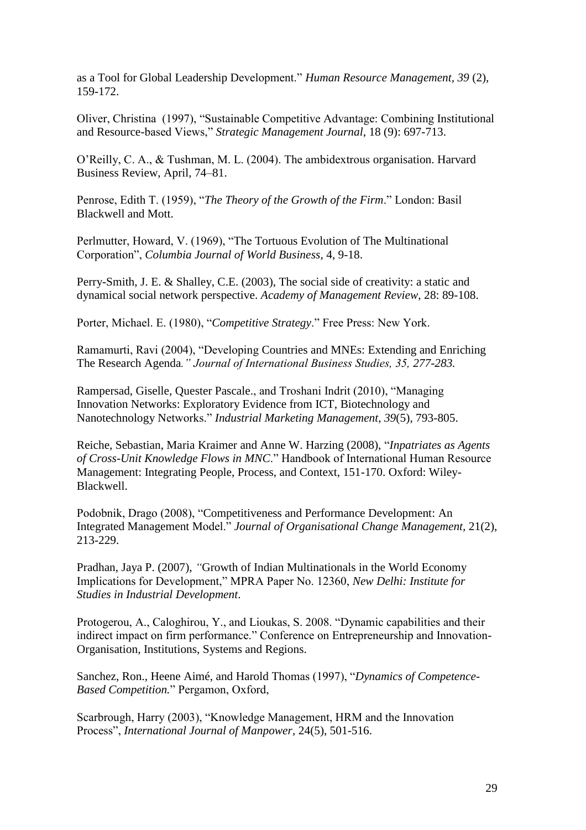as a Tool for Global Leadership Development." *Human Resource Management, 39* (2), 159-172.

Oliver, Christina (1997), "Sustainable Competitive Advantage: Combining Institutional and Resource-based Views," *Strategic Management Journal*, 18 (9): 697-713.

O'Reilly, C. A., & Tushman, M. L. (2004). The ambidextrous organisation. Harvard Business Review, April, 74–81.

Penrose, Edith T. (1959), "*The Theory of the Growth of the Firm*." London: Basil Blackwell and Mott.

Perlmutter, Howard, V. (1969), "The Tortuous Evolution of The Multinational Corporation", *Columbia Journal of World Business*, 4, 9-18.

Perry-Smith, J. E. & Shalley, C.E. (2003), The social side of creativity: a static and dynamical social network perspective. *Academy of Management Review*, 28: 89-108.

Porter, Michael. E. (1980), "*Competitive Strategy*." Free Press: New York.

Ramamurti, Ravi (2004), "Developing Countries and MNEs: Extending and Enriching The Research Agenda*." Journal of International Business Studies, 35, 277-283.*

Rampersad, Giselle, Quester Pascale., and Troshani Indrit (2010), "Managing Innovation Networks: Exploratory Evidence from ICT, Biotechnology and Nanotechnology Networks." *Industrial Marketing Management, 39*(5), 793-805.

Reiche, Sebastian, Maria Kraimer and Anne W. Harzing (2008), "*Inpatriates as Agents of Cross-Unit Knowledge Flows in MNC*." Handbook of International Human Resource Management: Integrating People, Process, and Context, 151-170. Oxford: Wiley-Blackwell.

Podobnik, Drago (2008), "Competitiveness and Performance Development: An Integrated Management Model." *Journal of Organisational Change Management,* 21(2), 213-229.

Pradhan, Jaya P. (2007), *"*Growth of Indian Multinationals in the World Economy Implications for Development," MPRA Paper No. 12360, *New Delhi: Institute for Studies in Industrial Development*.

Protogerou, A., Caloghirou, Y., and Lioukas, S. 2008. "Dynamic capabilities and their indirect impact on firm performance." Conference on Entrepreneurship and Innovation-Organisation, Institutions, Systems and Regions.

Sanchez, Ron., Heene Aimé, and Harold Thomas (1997), "*Dynamics of Competence-Based Competition.*" Pergamon, Oxford,

Scarbrough, Harry (2003), "Knowledge Management, HRM and the Innovation Process", *International Journal of Manpower,* 24(5), 501-516.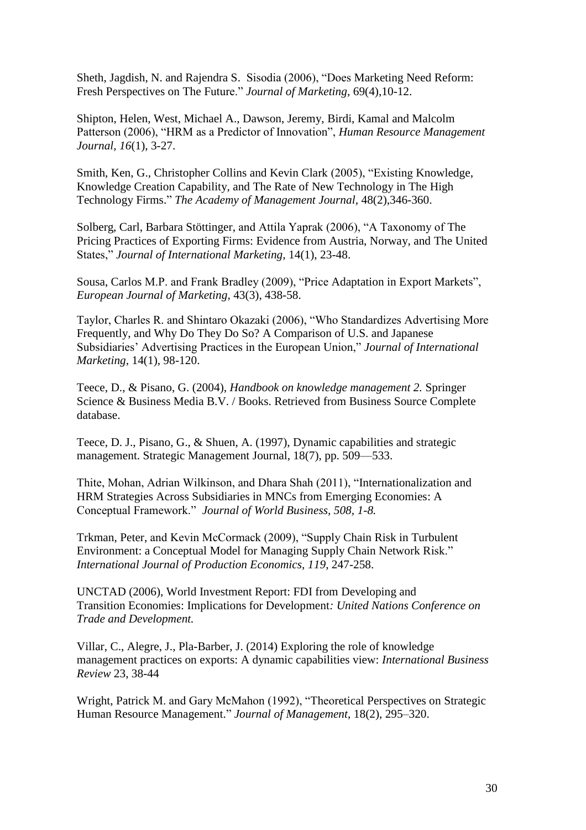Sheth, Jagdish, N. and Rajendra S. Sisodia (2006), "Does Marketing Need Reform: Fresh Perspectives on The Future." *Journal of Marketing*, 69(4),10-12.

Shipton, Helen, West, Michael A., Dawson, Jeremy, Birdi, Kamal and Malcolm Patterson (2006), "HRM as a Predictor of Innovation", *Human Resource Management Journal, 16*(1), 3-27.

Smith, Ken, G., Christopher Collins and Kevin Clark (2005), "Existing Knowledge, Knowledge Creation Capability, and The Rate of New Technology in The High Technology Firms." *The Academy of Management Journal,* 48(2),346-360.

Solberg, Carl, Barbara Stöttinger, and Attila Yaprak (2006), "A Taxonomy of The Pricing Practices of Exporting Firms: Evidence from Austria, Norway, and The United States," *Journal of International Marketing,* 14(1), 23-48.

Sousa, Carlos M.P. and Frank Bradley (2009), "Price Adaptation in Export Markets", *European Journal of Marketing*, 43(3), 438-58.

Taylor, Charles R. and Shintaro Okazaki (2006), "Who Standardizes Advertising More Frequently, and Why Do They Do So? A Comparison of U.S. and Japanese Subsidiaries' Advertising Practices in the European Union," *Journal of International Marketing,* 14(1), 98-120.

Teece, D., & Pisano, G. (2004), *Handbook on knowledge management 2.* Springer Science & Business Media B.V. / Books. Retrieved from Business Source Complete database.

Teece, D. J., Pisano, G., & Shuen, A. (1997), Dynamic capabilities and strategic management. Strategic Management Journal, 18(7), pp. 509—533.

Thite, Mohan, Adrian Wilkinson, and Dhara Shah (2011), "Internationalization and HRM Strategies Across Subsidiaries in MNCs from Emerging Economies: A Conceptual Framework." *Journal of World Business, 508, 1-8.*

Trkman, Peter, and Kevin McCormack (2009), "Supply Chain Risk in Turbulent Environment: a Conceptual Model for Managing Supply Chain Network Risk." *International Journal of Production Economics, 119*, 247-258.

UNCTAD (2006), World Investment Report: FDI from Developing and Transition Economies: Implications for Development*: United Nations Conference on Trade and Development.*

Villar, C., Alegre, J., Pla-Barber, J. (2014) Exploring the role of knowledge management practices on exports: A dynamic capabilities view: *International Business Review* 23, 38-44

Wright, Patrick M. and Gary McMahon (1992), "Theoretical Perspectives on Strategic Human Resource Management." *Journal of Management*, 18(2), 295–320.